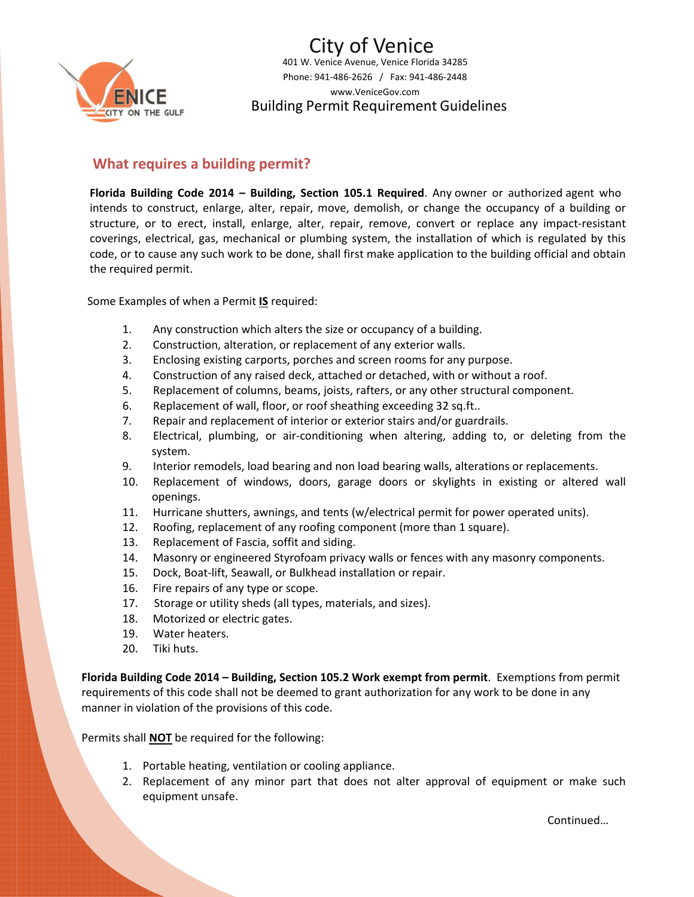

401 W. Venice Avenue, Venice Florida 34285 Phone: 941-486-2626 / Fax: 941-486-2448 www.VeniceGov.com Building Permit Requirement Guidelines City of Venice

## **What requires a building permit?**

**Florida Building Code 2014 – Building, Section 105.1 Required**. Any owner or authorized agent who intends to construct, enlarge, alter, repair, move, demolish, or change the occupancy of a building or structure, or to erect, install, enlarge, alter, repair, remove, convert or replace any impact‐resistant coverings, electrical, gas, mechanical or plumbing system, the installation of which is regulated by this code, or to cause any such work to be done, shall first make application to the building official and obtain the required permit.

Some Examples of when a Permit **IS** required:

- 1. Any construction which alters the size or occupancy of a building.
- 2. Construction, alteration, or replacement of any exterior walls.
- 3. Enclosing existing carports, porches and screen rooms for any purpose.
- 4. Construction of any raised deck, attached or detached, with or without a roof.
- 5. Replacement of columns, beams, joists, rafters, or any other structural component.
- 6. Replacement of wall, floor, or roof sheathing exceeding 32 sq.ft..
- 7. Repair and replacement of interior or exterior stairs and/or guardrails.
- 8. Electrical, plumbing, or air‐conditioning when altering, adding to, or deleting from the system.
- 9. Interior remodels, load bearing and non load bearing walls, alterations or replacements.
- 10. Replacement of windows, doors, garage doors or skylights in existing or altered wall openings.
- 11. Hurricane shutters, awnings, and tents (w/electrical permit for power operated units).
- 12. Roofing, replacement of any roofing component (more than 1 square).
- 13. Replacement of Fascia, soffit and siding.
- 14. Masonry or engineered Styrofoam privacy walls or fences with any masonry components.
- 15. Dock, Boat-lift, Seawall, or Bulkhead installation or repair.
- 16. Fire repairs of any type or scope.
- 17. Storage or utility sheds (all types, materials, and sizes).
- 18. Motorized or electric gates.
- 19. Water heaters.
- 20. Tiki huts.

Florida Building Code 2014 - Building, Section 105.2 Work exempt from permit. Exemptions from permit requirements of this code shall not be deemed to grant authorization for any work to be done in any manner in violation of the provisions of this code.

Permits shall **NOT** be required for the following:

- 1. Portable heating, ventilation or cooling appliance.
- 2. Replacement of any minor part that does not alter approval of equipment or make such equipment unsafe.

Continued…